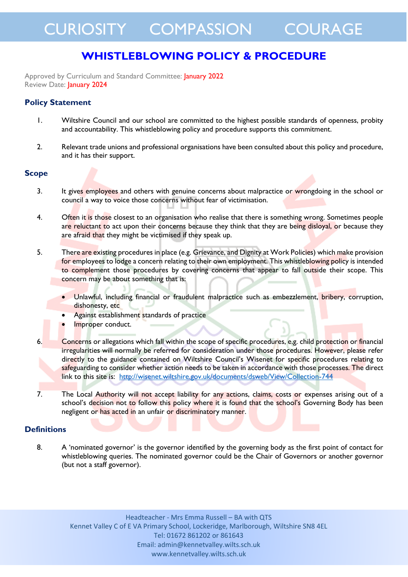# **WHISTLEBLOWING POLICY & PROCEDURE**

Approved by Curriculum and Standard Committee: January 2022 Review Date: January 2024

# **Policy Statement**

- 1. Wiltshire Council and our school are committed to the highest possible standards of openness, probity and accountability. This whistleblowing policy and procedure supports this commitment.
- 2. Relevant trade unions and professional organisations have been consulted about this policy and procedure, and it has their support.

## **Scope**

- 3. It gives employees and others with genuine concerns about malpractice or wrongdoing in the school or council a way to voice those concerns without fear of victimisation.
- 4. Often it is those closest to an organisation who realise that there is something wrong. Sometimes people are reluctant to act upon their concerns because they think that they are being disloyal, or because they are afraid that they might be victimised if they speak up.
- 5. There are existing procedures in place (e.g. Grievance, and Dignity at Work Policies) which make provision for employees to lodge a concern relating to their own employment. This whistleblowing policy is intended to complement those procedures by covering concerns that appear to fall outside their scope. This concern may be about something that is:
	- Unlawful, including financial or fraudulent malpractice such as embezzlement, bribery, corruption, dishonesty, etc
	- Against establishment standards of practice
	- Improper conduct.
- 6. Concerns or allegations which fall within the scope of specific procedures, e.g. child protection or financial irregularities will normally be referred for consideration under those procedures. However, please refer directly to the guidance contained on Wiltshire Council's Wisenet for specific procedures relating to safeguarding to consider whether action needs to be taken in accordance with those processes. The direct link to this site is: <http://wisenet.wiltshire.gov.uk/documents/dsweb/View/Collection-744>
- 7. The Local Authority will not accept liability for any actions, claims, costs or expenses arising out of a school's decision not to follow this policy where it is found that the school's Governing Body has been negligent or has acted in an unfair or discriminatory manner.

#### **Definitions**

8. A 'nominated governor' is the governor identified by the governing body as the first point of contact for whistleblowing queries. The nominated governor could be the Chair of Governors or another governor (but not a staff governor).

Headteacher - Mrs Emma Russell – BA with QTS Kennet Valley C of E VA Primary School, Lockeridge, Marlborough, Wiltshire SN8 4EL Tel: 01672 861202 or 861643 Email: admin@kennetvalley.wilts.sch.uk www.kennetvalley.wilts.sch.uk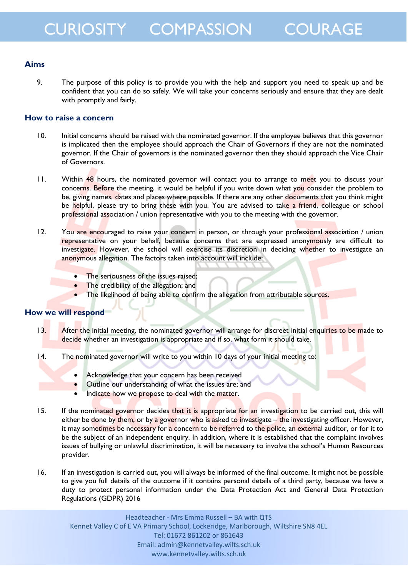# **Aims**

9. The purpose of this policy is to provide you with the help and support you need to speak up and be confident that you can do so safely. We will take your concerns seriously and ensure that they are dealt with promptly and fairly.

## **How to raise a concern**

- 10. Initial concerns should be raised with the nominated governor. If the employee believes that this governor is implicated then the employee should approach the Chair of Governors if they are not the nominated governor. If the Chair of governors is the nominated governor then they should approach the Vice Chair of Governors.
- 11. Within 48 hours, the nominated governor will contact you to arrange to meet you to discuss your concerns. Before the meeting, it would be helpful if you write down what you consider the problem to be, giving names, dates and places where possible. If there are any other documents that you think might be helpful, please try to bring these with you. You are advised to take a friend, colleague or school professional association / union representative with you to the meeting with the governor.
- 12. You are encouraged to raise your concern in person, or through your professional association / union representative on your behalf, because concerns that are expressed anonymously are difficult to investigate. However, the school will exercise its discretion in deciding whether to investigate an anonymous allegation. The factors taken into account will include:
	- The seriousness of the issues raised;
	- The credibility of the allegation; and
	- The likelihood of being able to confirm the allegation from attributable sources.

## **How we will respond**

- 13. After the initial meeting, the nominated governor will arrange for discreet initial enquiries to be made to decide whether an investigation is appropriate and if so, what form it should take.
- 14. The nominated governor will write to you within 10 days of your initial meeting to:
	- Acknowledge that your concern has been received
	- Outline our understanding of what the issues are; and
	- Indicate how we propose to deal with the matter.
- 15. If the nominated governor decides that it is appropriate for an investigation to be carried out, this will either be done by them, or by a governor who is asked to investigate – the investigating officer. However, it may sometimes be necessary for a concern to be referred to the police, an external auditor, or for it to be the subject of an independent enquiry. In addition, where it is established that the complaint involves issues of bullying or unlawful discrimination, it will be necessary to involve the school's Human Resources provider.
- 16. If an investigation is carried out, you will always be informed of the final outcome. It might not be possible to give you full details of the outcome if it contains personal details of a third party, because we have a duty to protect personal information under the Data Protection Act and General Data Protection Regulations (GDPR) 2016

Headteacher - Mrs Emma Russell – BA with QTS Kennet Valley C of E VA Primary School, Lockeridge, Marlborough, Wiltshire SN8 4EL Tel: 01672 861202 or 861643 Email: admin@kennetvalley.wilts.sch.uk www.kennetvalley.wilts.sch.uk